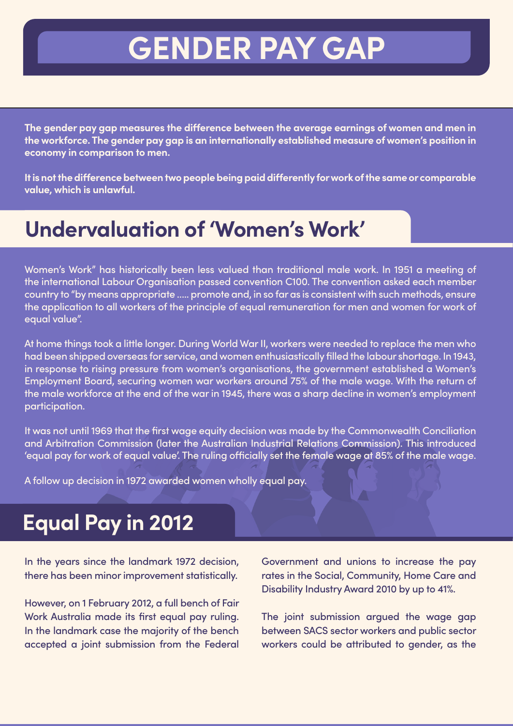# **GENDER PAY GAP**

**The gender pay gap measures the difference between the average earnings of women and men in the workforce. The gender pay gap is an internationally established measure of women's position in economy in comparison to men.**

**It is not the difference between two people being paid differently for work of the same or comparable value, which is unlawful.**

## **Undervaluation of 'Women's Work'**

Women's Work" has historically been less valued than traditional male work. In 1951 a meeting of the international Labour Organisation passed convention C100. The convention asked each member country to "by means appropriate ….. promote and, in so far as is consistent with such methods, ensure the application to all workers of the principle of equal remuneration for men and women for work of equal value".

At home things took a little longer. During World War II, workers were needed to replace the men who had been shipped overseas for service, and women enthusiastically filled the labour shortage. In 1943, in response to rising pressure from women's organisations, the government established a Women's Employment Board, securing women war workers around 75% of the male wage. With the return of the male workforce at the end of the war in 1945, there was a sharp decline in women's employment participation.

It was not until 1969 that the first wage equity decision was made by the Commonwealth Conciliation and Arbitration Commission (later the Australian Industrial Relations Commission). This introduced 'equal pay for work of equal value'. The ruling officially set the female wage at 85% of the male wage.

A follow up decision in 1972 awarded women wholly equal pay.

### **Equal Pay in 2012**

In the years since the landmark 1972 decision, there has been minor improvement statistically.

However, on 1 February 2012, a full bench of Fair Work Australia made its first equal pay ruling. In the landmark case the majority of the bench accepted a joint submission from the Federal Government and unions to increase the pay rates in the Social, Community, Home Care and Disability Industry Award 2010 by up to 41%.

The joint submission argued the wage gap between SACS sector workers and public sector workers could be attributed to gender, as the